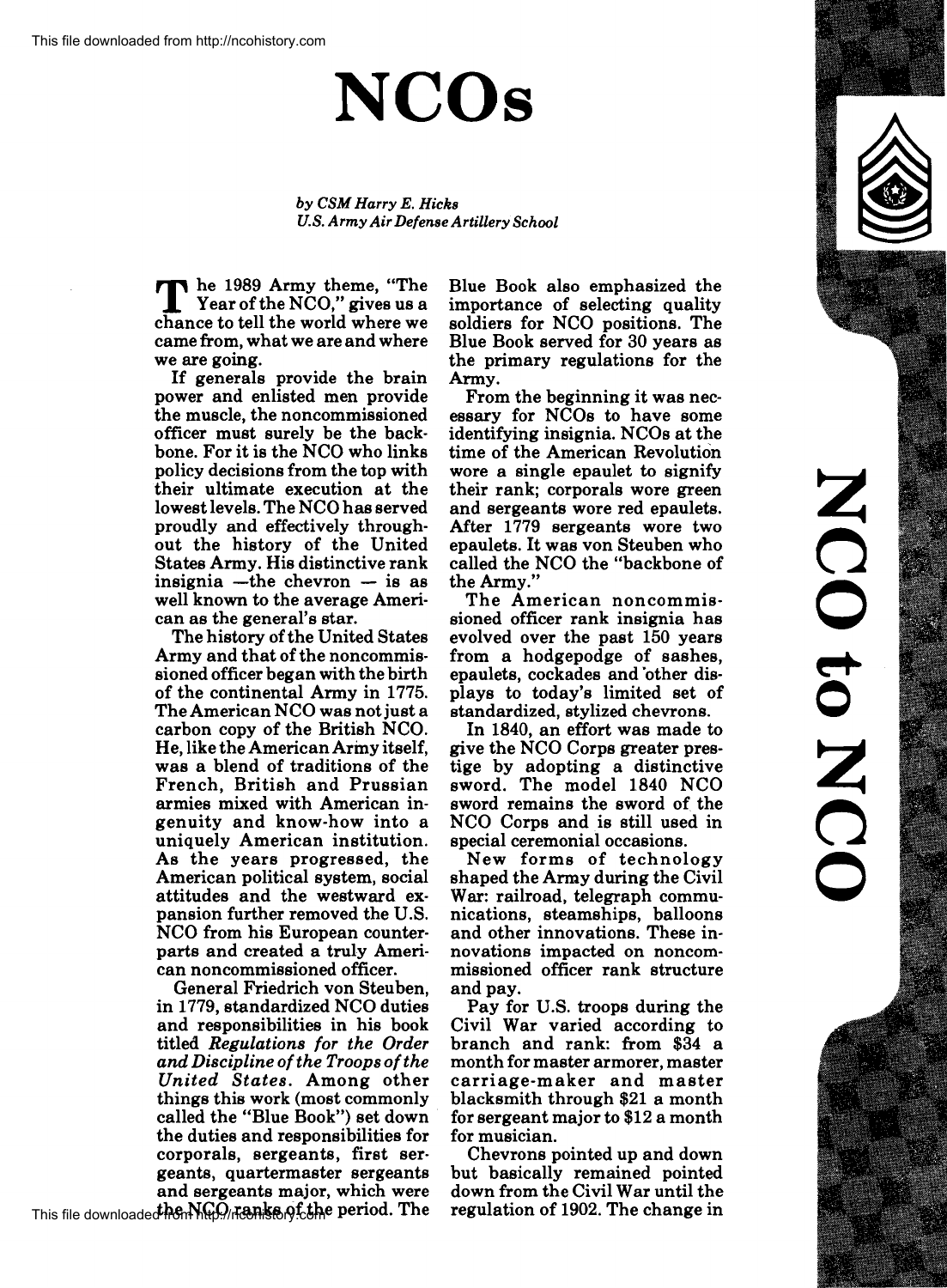## **NCOs**

*by CSM Harry E. Hicks U.S. Army Air Defense Artillery School* 

The 1989 Army theme, "The Year of the NCO," gives us a<br>chance to tell the world where we chance to tell the world where we came from, what we are and where we are going.

If generals provide the brain power and enlisted men provide the muscle, the noncommissioned officer must surely be the backbone. For it is the NCO who links policy decisions from the top with their ultimate execution at the lowest levels. The NCO has served proudly and effectively throughout the history of the United States Army. His distinctive rank insignia  $-th$ e chevron  $-$  is as well known to the average American as the general's star.

The history of the United States Army and that of the noncommissioned officer began with the birth of the continental Army in 1775. The American NCO was not just a carbon copy of the British NCO. He, like the American Army itself, was a blend of traditions of the French, British and Prussian armies mixed with American ingenuity and know-how into a uniquely American institution. As the years progressed, the American political system, social attitudes and the westward expansion further removed the U.S. NCO from his European counterparts and created a truly American noncommissioned officer.

General Friedrich von Steuben, in 1779, standardized NCO duties and responsibilities in his book titled *Regulations for the Order and Discipline of the Troops of the United States.* Among other things this work (most commonly called the "Blue Book") set down the duties and responsibilities for corporals, sergeants, first sergeants, quartermaster sergeants and sergeants major, which were Blue Book also emphasized the importance of selecting quality soldiers for NCO positions. The Blue Book served for 30 years as the primary regulations for the Army.

From the beginning it was necessary for NCOs to have some identifying insignia. NCOs at the time of the American Revolution wore a single epaulet to signify their rank; corporals wore green and sergeants wore red epaulets. After 1779 sergeants wore two epaulets. It was von Steuben who called the NCO the "backbone of the Army."

The American noncommissioned officer rank insignia has evolved over the past 150 years from a hodgepodge of sashes, epaulets, cockades and 'other displays to today's limited set of standardized, stylized chevrons.

In 1840, an effort was made to give the NCO Corps greater prestige by adopting a distinctive sword. The model 1840 NCO sword remains the sword of the NCO Corps and is still used in special ceremonial occasions.

New forms of technology shaped the Army during the Civil War: railroad, telegraph communications, steamships, balloons and other innovations. These innovations impacted on noncommissioned officer rank structure and pay.

Pay for U.S. troops during the Civil War varied according to branch and rank: from \$34 a month for master armorer, master carriage-maker and master blacksmith through \$21 a month for sergeant major to \$12 a month for musician.

Chevrons pointed up and down but basically remained pointed down from the Civil War until the regulation of 1902. The change in





This file downloaded hen NGO/nenke of the period. The